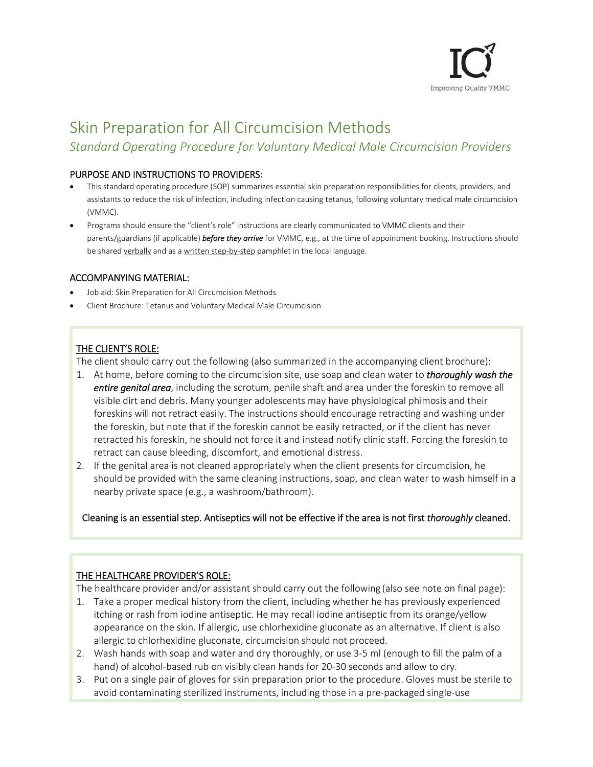

# Skin Preparation for All Circumcision Methods *Standard Operating Procedure for Voluntary Medical Male Circumcision Providers*

### PURPOSE AND INSTRUCTIONS TO PROVIDERS:

- This standard operating procedure (SOP) summarizes essential skin preparation responsibilities for clients, providers, and assistants to reduce the risk of infection, including infection causing tetanus, following voluntary medical male circumcision (VMMC).
- Programs should ensure the "client's role" instructions are clearly communicated to VMMC clients and their parents/guardians (if applicable) *before they arrive* for VMMC, e.g., at the time of appointment booking. Instructions should be shared verbally and as a written step-by-step pamphlet in the local language.

## ACCOMPANYING MATERIAL:

- Job aid: Skin Preparation for All Circumcision Methods
- Client Brochure: Tetanus and Voluntary Medical Male Circumcision

# THE CLIENT'S ROLE:

The client should carry out the following (also summarized in the accompanying client brochure):

- 1. At home, before coming to the circumcision site, use soap and clean water to *thoroughly wash the entire genital area*, including the scrotum, penile shaft and area under the foreskin to remove all visible dirt and debris. Many younger adolescents may have physiological phimosis and their foreskins will not retract easily. The instructions should encourage retracting and washing under the foreskin, but note that if the foreskin cannot be easily retracted, or if the client has never retracted his foreskin, he should not force it and instead notify clinic staff. Forcing the foreskin to retract can cause bleeding, discomfort, and emotional distress.
- 2. If the genital area is not cleaned appropriately when the client presents for circumcision, he should be provided with the same cleaning instructions, soap, and clean water to wash himself in a nearby private space (e.g., a washroom/bathroom).

## Cleaning is an essential step. Antiseptics will not be effective if the area is not first *thoroughly* cleaned.

## THE HEALTHCARE PROVIDER'S ROLE:

The healthcare provider and/or assistant should carry out the following (also see note on final page):

- 1. Take a proper medical history from the client, including whether he has previously experienced itching or rash from iodine antiseptic. He may recall iodine antiseptic from its orange/yellow appearance on the skin. If allergic, use chlorhexidine gluconate as an alternative. If client is also allergic to chlorhexidine gluconate, circumcision should not proceed.
- 2. Wash hands with soap and water and dry thoroughly, or use 3‐5 ml (enough to fill the palm of a hand) of alcohol-based rub on visibly clean hands for 20-30 seconds and allow to dry.
- 3. Put on a single pair of gloves for skin preparation prior to the procedure. Gloves must be sterile to avoid contaminating sterilized instruments, including those in a pre-packaged single-use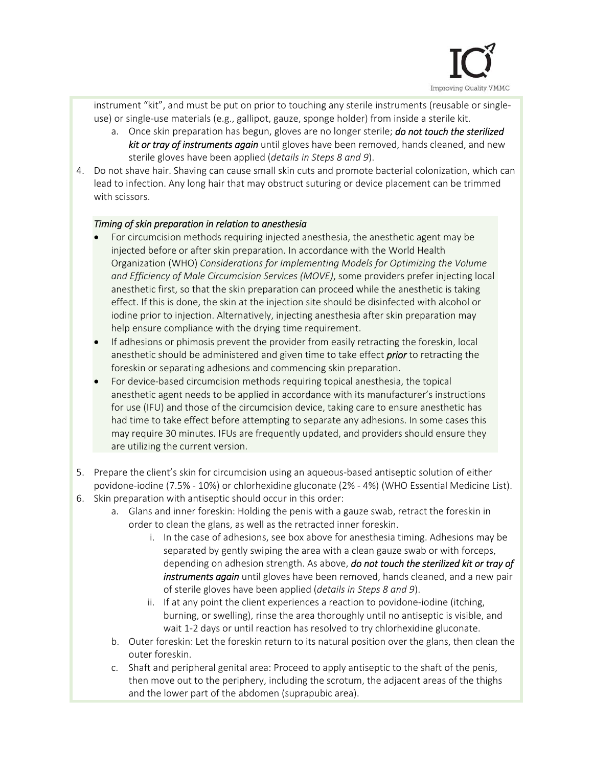

instrument "kit", and must be put on prior to touching any sterile instruments (reusable or single‐ use) or single-use materials (e.g., gallipot, gauze, sponge holder) from inside a sterile kit.

- a. Once skin preparation has begun, gloves are no longer sterile; *do not touch the sterilized kit or tray of instruments again* until gloves have been removed, hands cleaned, and new sterile gloves have been applied (*details in Steps 8 and 9*).
- 4. Do not shave hair. Shaving can cause small skin cuts and promote bacterial colonization, which can lead to infection. Any long hair that may obstruct suturing or device placement can be trimmed with scissors.

### *Timing of skin preparation in relation to anesthesia*

- For circumcision methods requiring injected anesthesia, the anesthetic agent may be injected before or after skin preparation. In accordance with the World Health Organization (WHO) *Considerations for Implementing Models for Optimizing the Volume and Efficiency of Male Circumcision Services (MOVE)*, some providers prefer injecting local anesthetic first, so that the skin preparation can proceed while the anesthetic is taking effect. If this is done, the skin at the injection site should be disinfected with alcohol or iodine prior to injection. Alternatively, injecting anesthesia after skin preparation may help ensure compliance with the drying time requirement.
- If adhesions or phimosis prevent the provider from easily retracting the foreskin, local anesthetic should be administered and given time to take effect *prior* to retracting the foreskin or separating adhesions and commencing skin preparation.
- For device‐based circumcision methods requiring topical anesthesia, the topical anesthetic agent needs to be applied in accordance with its manufacturer's instructions for use (IFU) and those of the circumcision device, taking care to ensure anesthetic has had time to take effect before attempting to separate any adhesions. In some cases this may require 30 minutes. IFUs are frequently updated, and providers should ensure they are utilizing the current version.
- 5. Prepare the client's skin for circumcision using an aqueous-based antiseptic solution of either povidone‐iodine (7.5% ‐ 10%) or chlorhexidine gluconate (2% ‐ 4%) (WHO Essential Medicine List).
- 6. Skin preparation with antiseptic should occur in this order:
	- a. Glans and inner foreskin: Holding the penis with a gauze swab, retract the foreskin in order to clean the glans, as well as the retracted inner foreskin.
		- i. In the case of adhesions, see box above for anesthesia timing. Adhesions may be separated by gently swiping the area with a clean gauze swab or with forceps, depending on adhesion strength. As above, *do not touch the sterilized kit or tray of instruments again* until gloves have been removed, hands cleaned, and a new pair of sterile gloves have been applied (*details in Steps 8 and 9*).
		- ii. If at any point the client experiences a reaction to povidone-iodine (itching, burning, or swelling), rinse the area thoroughly until no antiseptic is visible, and wait 1‐2 days or until reaction has resolved to try chlorhexidine gluconate.
	- b. Outer foreskin: Let the foreskin return to its natural position over the glans, then clean the outer foreskin.
	- c. Shaft and peripheral genital area: Proceed to apply antiseptic to the shaft of the penis, then move out to the periphery, including the scrotum, the adjacent areas of the thighs and the lower part of the abdomen (suprapubic area).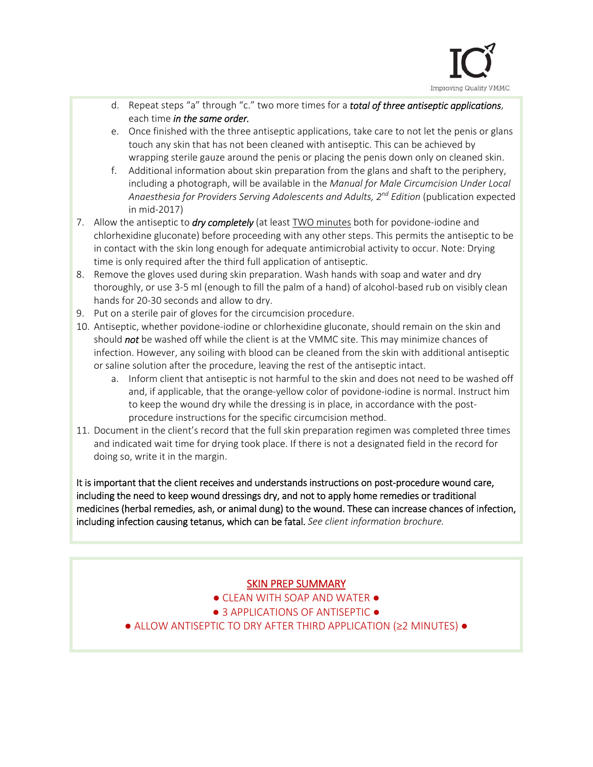

- d. Repeat steps "a" through "c." two more times for a *total of three antiseptic applications*, each time *in the same order.*
- e. Once finished with the three antiseptic applications, take care to not let the penis or glans touch any skin that has not been cleaned with antiseptic. This can be achieved by wrapping sterile gauze around the penis or placing the penis down only on cleaned skin.
- f. Additional information about skin preparation from the glans and shaft to the periphery, including a photograph, will be available in the *Manual for Male Circumcision Under Local Anaesthesia for Providers Serving Adolescents and Adults, 2nd Edition* (publication expected in mid‐2017)
- 7. Allow the antiseptic to *dry completely* (at least TWO minutes both for povidone-iodine and chlorhexidine gluconate) before proceeding with any other steps. This permits the antiseptic to be in contact with the skin long enough for adequate antimicrobial activity to occur. Note: Drying time is only required after the third full application of antiseptic.
- 8. Remove the gloves used during skin preparation. Wash hands with soap and water and dry thoroughly, or use 3‐5 ml (enough to fill the palm of a hand) of alcohol‐based rub on visibly clean hands for 20‐30 seconds and allow to dry.
- 9. Put on a sterile pair of gloves for the circumcision procedure.
- 10. Antiseptic, whether povidone‐iodine or chlorhexidine gluconate, should remain on the skin and should *not* be washed off while the client is at the VMMC site. This may minimize chances of infection. However, any soiling with blood can be cleaned from the skin with additional antiseptic or saline solution after the procedure, leaving the rest of the antiseptic intact.
	- a. Inform client that antiseptic is not harmful to the skin and does not need to be washed off and, if applicable, that the orange-yellow color of povidone-iodine is normal. Instruct him to keep the wound dry while the dressing is in place, in accordance with the postprocedure instructions for the specific circumcision method.
- 11. Document in the client's record that the full skin preparation regimen was completed three times and indicated wait time for drying took place. If there is not a designated field in the record for doing so, write it in the margin.

It is important that the client receives and understands instructions on post-procedure wound care, including the need to keep wound dressings dry, and not to apply home remedies or traditional medicines (herbal remedies, ash, or animal dung) to the wound. These can increase chances of infection, including infection causing tetanus, which can be fatal. *See client information brochure.* 

## SKIN PREP SUMMARY

- CLEAN WITH SOAP AND WATER ●
- 3 APPLICATIONS OF ANTISEPTIC ●
- ALLOW ANTISEPTIC TO DRY AFTER THIRD APPLICATION (≥2 MINUTES) ●